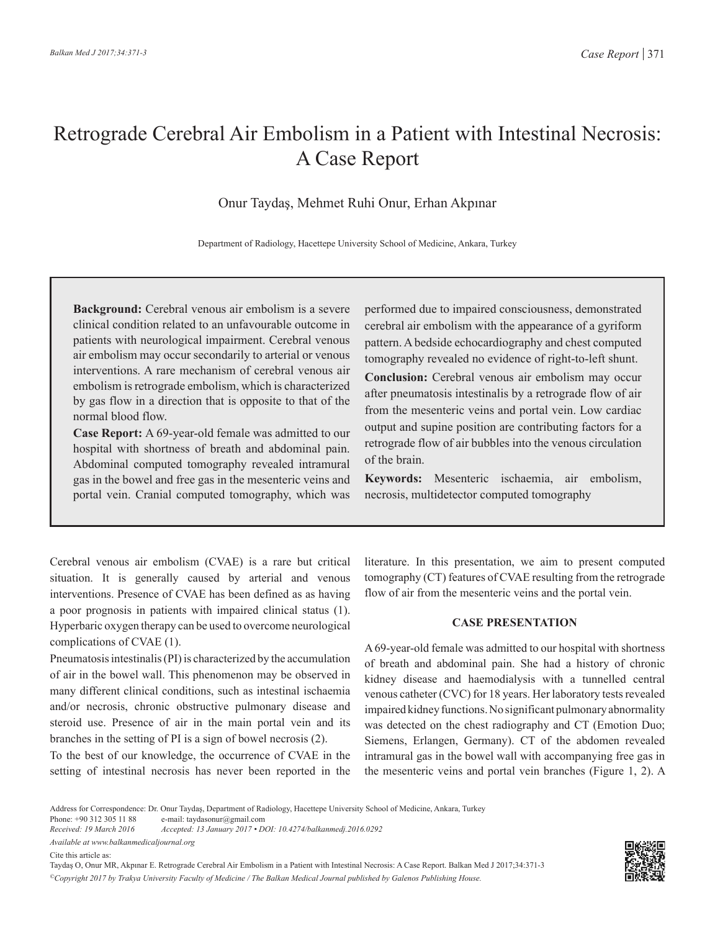## Retrograde Cerebral Air Embolism in a Patient with Intestinal Necrosis: A Case Report

Onur Taydaş, Mehmet Ruhi Onur, Erhan Akpınar

Department of Radiology, Hacettepe University School of Medicine, Ankara, Turkey

**Background:** Cerebral venous air embolism is a severe clinical condition related to an unfavourable outcome in patients with neurological impairment. Cerebral venous air embolism may occur secondarily to arterial or venous interventions. A rare mechanism of cerebral venous air embolism is retrograde embolism, which is characterized by gas flow in a direction that is opposite to that of the normal blood flow.

**Case Report:** A 69-year-old female was admitted to our hospital with shortness of breath and abdominal pain. Abdominal computed tomography revealed intramural gas in the bowel and free gas in the mesenteric veins and portal vein. Cranial computed tomography, which was

performed due to impaired consciousness, demonstrated cerebral air embolism with the appearance of a gyriform pattern. A bedside echocardiography and chest computed tomography revealed no evidence of right-to-left shunt.

**Conclusion:** Cerebral venous air embolism may occur after pneumatosis intestinalis by a retrograde flow of air from the mesenteric veins and portal vein. Low cardiac output and supine position are contributing factors for a retrograde flow of air bubbles into the venous circulation of the brain.

**Keywords:** Mesenteric ischaemia, air embolism, necrosis, multidetector computed tomography

Cerebral venous air embolism (CVAE) is a rare but critical situation. It is generally caused by arterial and venous interventions. Presence of CVAE has been defined as as having a poor prognosis in patients with impaired clinical status (1). Hyperbaric oxygen therapy can be used to overcome neurological complications of CVAE (1).

Pneumatosis intestinalis (PI) is characterized by the accumulation of air in the bowel wall. This phenomenon may be observed in many different clinical conditions, such as intestinal ischaemia and/or necrosis, chronic obstructive pulmonary disease and steroid use. Presence of air in the main portal vein and its branches in the setting of PI is a sign of bowel necrosis (2).

To the best of our knowledge, the occurrence of CVAE in the setting of intestinal necrosis has never been reported in the literature. In this presentation, we aim to present computed tomography (CT) features of CVAE resulting from the retrograde flow of air from the mesenteric veins and the portal vein.

## **CASE PRESENTATION**

A 69-year-old female was admitted to our hospital with shortness of breath and abdominal pain. She had a history of chronic kidney disease and haemodialysis with a tunnelled central venous catheter (CVC) for 18 years. Her laboratory tests revealed impaired kidney functions. No significant pulmonary abnormality was detected on the chest radiography and CT (Emotion Duo; Siemens, Erlangen, Germany). CT of the abdomen revealed intramural gas in the bowel wall with accompanying free gas in the mesenteric veins and portal vein branches (Figure 1, 2). A

Address for Correspondence: Dr. Onur Taydaş, Department of Radiology, Hacettepe University School of Medicine, Ankara, Turkey

Phone: +90 312 305 11 88 e-mail: taydasonur@gmail.com<br>Received: 19 March 2016 Accepted: 13 January 2017 • De

*Received: 19 March 2016 Accepted: 13 January 2017 • DOI: 10.4274/balkanmedj.2016.0292*

*Available at www.balkanmedicaljournal.org*

Cite this article as:

Taydaş O, Onur MR, Akpınar E. Retrograde Cerebral Air Embolism in a Patient with Intestinal Necrosis: A Case Report. Balkan Med J 2017;34:371-3 *©Copyright 2017 by Trakya University Faculty of Medicine / The Balkan Medical Journal published by Galenos Publishing House.*

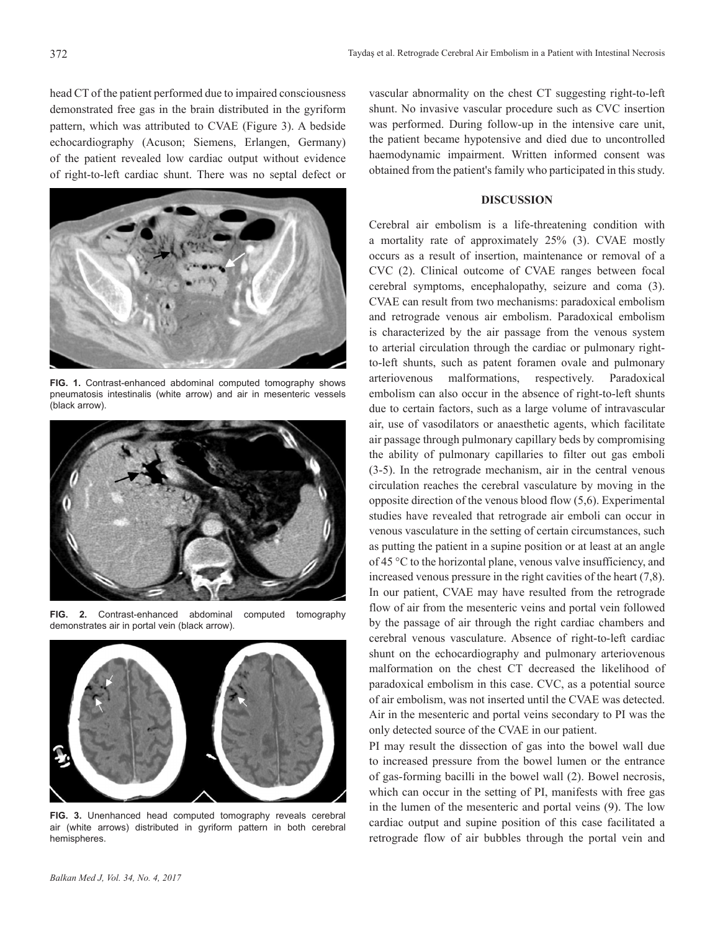head CT of the patient performed due to impaired consciousness demonstrated free gas in the brain distributed in the gyriform pattern, which was attributed to CVAE (Figure 3). A bedside echocardiography (Acuson; Siemens, Erlangen, Germany) of the patient revealed low cardiac output without evidence of right-to-left cardiac shunt. There was no septal defect or



**FIG. 1.** Contrast-enhanced abdominal computed tomography shows pneumatosis intestinalis (white arrow) and air in mesenteric vessels (black arrow).



**FIG. 2.** Contrast-enhanced abdominal computed tomography demonstrates air in portal vein (black arrow).



**FIG. 3.** Unenhanced head computed tomography reveals cerebral air (white arrows) distributed in gyriform pattern in both cerebral hemispheres.

vascular abnormality on the chest CT suggesting right-to-left shunt. No invasive vascular procedure such as CVC insertion was performed. During follow-up in the intensive care unit, the patient became hypotensive and died due to uncontrolled haemodynamic impairment. Written informed consent was obtained from the patient's family who participated in this study.

## **DISCUSSION**

Cerebral air embolism is a life-threatening condition with a mortality rate of approximately 25% (3). CVAE mostly occurs as a result of insertion, maintenance or removal of a CVC (2). Clinical outcome of CVAE ranges between focal cerebral symptoms, encephalopathy, seizure and coma (3). CVAE can result from two mechanisms: paradoxical embolism and retrograde venous air embolism. Paradoxical embolism is characterized by the air passage from the venous system to arterial circulation through the cardiac or pulmonary rightto-left shunts, such as patent foramen ovale and pulmonary arteriovenous malformations, respectively. Paradoxical embolism can also occur in the absence of right-to-left shunts due to certain factors, such as a large volume of intravascular air, use of vasodilators or anaesthetic agents, which facilitate air passage through pulmonary capillary beds by compromising the ability of pulmonary capillaries to filter out gas emboli (3-5). In the retrograde mechanism, air in the central venous circulation reaches the cerebral vasculature by moving in the opposite direction of the venous blood flow (5,6). Experimental studies have revealed that retrograde air emboli can occur in venous vasculature in the setting of certain circumstances, such as putting the patient in a supine position or at least at an angle of 45 °C to the horizontal plane, venous valve insufficiency, and increased venous pressure in the right cavities of the heart (7,8). In our patient, CVAE may have resulted from the retrograde flow of air from the mesenteric veins and portal vein followed by the passage of air through the right cardiac chambers and cerebral venous vasculature. Absence of right-to-left cardiac shunt on the echocardiography and pulmonary arteriovenous malformation on the chest CT decreased the likelihood of paradoxical embolism in this case. CVC, as a potential source of air embolism, was not inserted until the CVAE was detected. Air in the mesenteric and portal veins secondary to PI was the only detected source of the CVAE in our patient.

PI may result the dissection of gas into the bowel wall due to increased pressure from the bowel lumen or the entrance of gas-forming bacilli in the bowel wall (2). Bowel necrosis, which can occur in the setting of PI, manifests with free gas in the lumen of the mesenteric and portal veins (9). The low cardiac output and supine position of this case facilitated a retrograde flow of air bubbles through the portal vein and